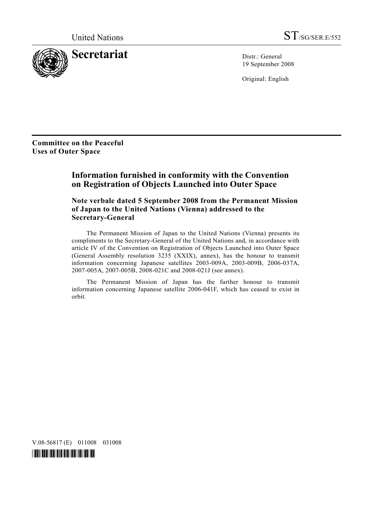

19 September 2008

Original: English

**Committee on the Peaceful Uses of Outer Space** 

# **Information furnished in conformity with the Convention on Registration of Objects Launched into Outer Space**

 **Note verbale dated 5 September 2008 from the Permanent Mission of Japan to the United Nations (Vienna) addressed to the Secretary-General** 

 The Permanent Mission of Japan to the United Nations (Vienna) presents its compliments to the Secretary-General of the United Nations and, in accordance with article IV of the Convention on Registration of Objects Launched into Outer Space (General Assembly resolution 3235 (XXIX), annex), has the honour to transmit information concerning Japanese satellites 2003-009A, 2003-009B, 2006-037A, 2007-005A, 2007-005B, 2008-021C and 2008-021J (see annex).

 The Permanent Mission of Japan has the further honour to transmit information concerning Japanese satellite 2006-041F, which has ceased to exist in orbit.

V.08-56817 (E) 011008 031008

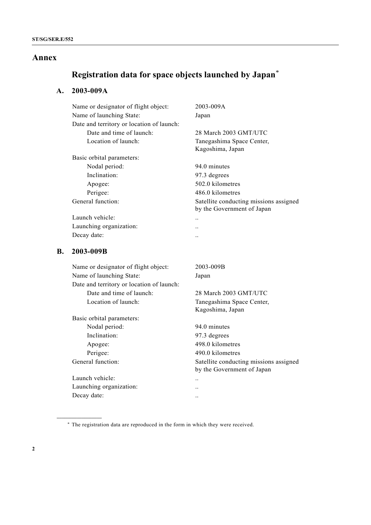### **Annex**

# **Registration data for space objects launched by Japan**\*

## **A. 2003-009A**

| Name or designator of flight object:      | 2003-009A                                                            |
|-------------------------------------------|----------------------------------------------------------------------|
| Name of launching State:                  | Japan                                                                |
| Date and territory or location of launch: |                                                                      |
| Date and time of launch:                  | 28 March 2003 GMT/UTC                                                |
| Location of launch:                       | Tanegashima Space Center,<br>Kagoshima, Japan                        |
| Basic orbital parameters:                 |                                                                      |
| Nodal period:                             | 94.0 minutes                                                         |
| Inclination:                              | 97.3 degrees                                                         |
| Apogee:                                   | 502.0 kilometres                                                     |
| Perigee:                                  | 486.0 kilometres                                                     |
| General function:                         | Satellite conducting missions assigned<br>by the Government of Japan |
| Launch vehicle:                           | $\ddotsc$                                                            |
| Launching organization:                   |                                                                      |
| Decay date:                               |                                                                      |
| 2003-009B                                 |                                                                      |
| Name or designator of flight object:      | 2003-009B                                                            |
| Name of launching State:                  | Japan                                                                |
| Date and territory or location of launch: |                                                                      |
| Date and time of launch:                  | 28 March 2003 GMT/UTC                                                |
|                                           |                                                                      |

Basic orbital parameters: Nodal period: 94.0 minutes Inclination: 97.3 degrees Apogee: 498.0 kilometres Perigee: 490.0 kilometres Launch vehicle: ..

Launching organization: .. Decay date: ..

**\_\_\_\_\_\_\_\_\_\_\_\_\_\_\_\_\_\_** 

 Location of launch: Tanegashima Space Center, Kagoshima, Japan

General function: Satellite conducting missions assigned by the Government of Japan

<sup>\*</sup> The registration data are reproduced in the form in which they were received.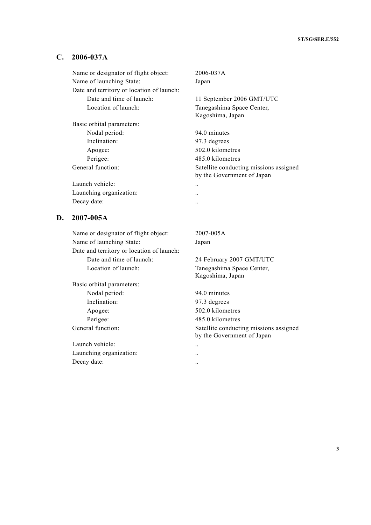#### **C. 2006-037A**

Name or designator of flight object: 2006-037A Name of launching State: Japan Date and territory or location of launch: Date and time of launch: 11 September 2006 GMT/UTC Location of launch: Tanegashima Space Center,

Basic orbital parameters: Nodal period: 94.0 minutes Inclination: 97.3 degrees Apogee: 502.0 kilometres Perigee: 485.0 kilometres

Launch vehicle: .. Launching organization: ... Decay date:  $\qquad \qquad \ldots$ 

## **D. 2007-005A**

Name or designator of flight object: 2007-005A Name of launching State: Japan Date and territory or location of launch: Date and time of launch: 24 February 2007 GMT/UTC Location of launch: Tanegashima Space Center,

Basic orbital parameters: Nodal period: 94.0 minutes Inclination: 97.3 degrees Apogee: 502.0 kilometres Perigee: 485.0 kilometres

Launch vehicle: .. Launching organization: .. Decay date:  $\qquad \qquad \ldots$ 

Kagoshima, Japan

General function: Satellite conducting missions assigned by the Government of Japan

Kagoshima, Japan

General function: Satellite conducting missions assigned by the Government of Japan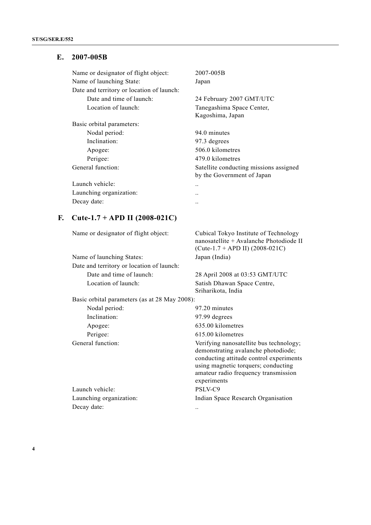## **E. 2007-005B**

| Name or designator of flight object:<br>Name of launching State: | 2007-005B<br>Japan                                                   |
|------------------------------------------------------------------|----------------------------------------------------------------------|
| Date and territory or location of launch:                        |                                                                      |
| Date and time of launch:                                         | 24 February 2007 GMT/UTC                                             |
| Location of launch:                                              | Tanegashima Space Center,<br>Kagoshima, Japan                        |
| Basic orbital parameters:                                        |                                                                      |
| Nodal period:                                                    | 94.0 minutes                                                         |
| Inclination:                                                     | 97.3 degrees                                                         |
| Apogee:                                                          | 506.0 kilometres                                                     |
| Perigee:                                                         | 479.0 kilometres                                                     |
| General function:                                                | Satellite conducting missions assigned<br>by the Government of Japan |
| Launch vehicle:                                                  | . .                                                                  |
| Launching organization:                                          | . .                                                                  |
| Decay date:                                                      |                                                                      |

## **F. Cute-1.7 + APD II (2008-021C)**

Name or designator of flight object: Cubical Tokyo Institute of Technology

Name of launching States: Japan (India) Date and territory or location of launch: Date and time of launch: 28 April 2008 at 03:53 GMT/UTC Location of launch: Satish Dhawan Space Centre,

nanosatellite + Avalanche Photodiode II (Cute-1.7 + APD II) (2008-021C)

Sriharikota, India

Basic orbital parameters (as at 28 May 2008):

| Nodal period:           | 97.20 minutes                                                                                                                                                                                                           |
|-------------------------|-------------------------------------------------------------------------------------------------------------------------------------------------------------------------------------------------------------------------|
| Inclination:            | 97.99 degrees                                                                                                                                                                                                           |
| Apogee:                 | 635.00 kilometres                                                                                                                                                                                                       |
| Perigee:                | 615.00 kilometres                                                                                                                                                                                                       |
| General function:       | Verifying nanosatellite bus technology;<br>demonstrating avalanche photodiode;<br>conducting attitude control experiments<br>using magnetic torquers; conducting<br>amateur radio frequency transmission<br>experiments |
| Launch vehicle:         | PSLV-C9                                                                                                                                                                                                                 |
| Launching organization: | Indian Space Research Organisation                                                                                                                                                                                      |
| Decay date:             |                                                                                                                                                                                                                         |